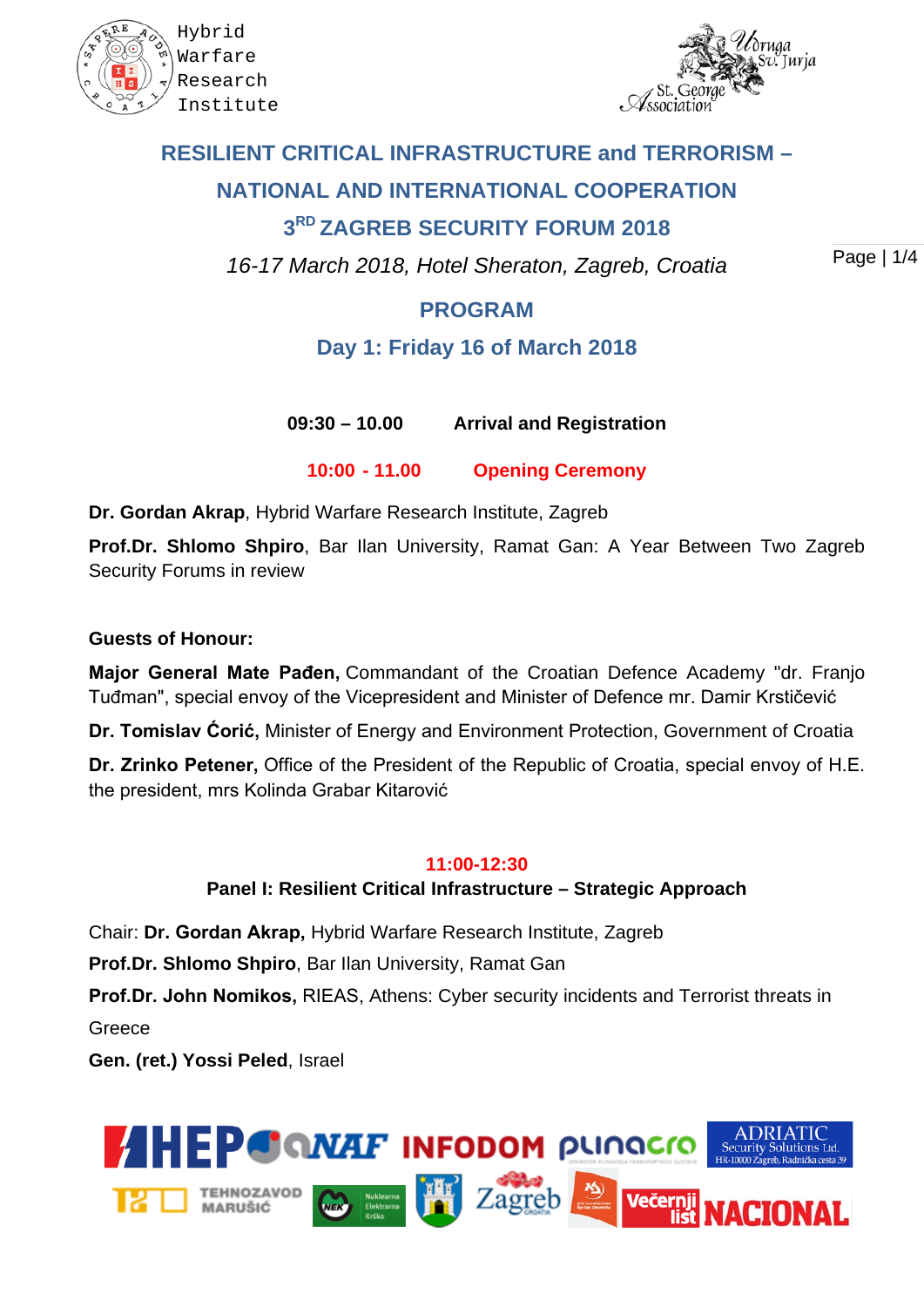



# **RESILIENT CRITICAL INFRASTRUCTURE and TERRORISM – NATIONAL AND INTERNATIONAL COOPERATION 3RD ZAGREB SECURITY FORUM 2018**

*16-17 March 2018, Hotel Sheraton, Zagreb, Croatia*

Page | 1/4

# **PROGRAM**

# **Day 1: Friday 16 of March 2018**

**09:30 – 10.00 Arrival and Registration**

**10:00 - 11.00 Opening Ceremony**

**Dr. Gordan Akrap**, Hybrid Warfare Research Institute, Zagreb

**Prof.Dr. Shlomo Shpiro**, Bar Ilan University, Ramat Gan: A Year Between Two Zagreb Security Forums in review

### **Guests of Honour:**

**Major General Mate Pađen,** Commandant of the Croatian Defence Academy "dr. Franjo Tuđman", special envoy of the Vicepresident and Minister of Defence mr. Damir Krstičević

**Dr. Tomislav Ćorić,** Minister of Energy and Environment Protection, Government of Croatia

**Dr. Zrinko Petener,** Office of the President of the Republic of Croatia, special envoy of H.E. the president, mrs Kolinda Grabar Kitarović

### **11:00-12:30**

### **Panel I: Resilient Critical Infrastructure – Strategic Approach**

Chair: **Dr. Gordan Akrap,** Hybrid Warfare Research Institute, Zagreb

**Prof.Dr. Shlomo Shpiro**, Bar Ilan University, Ramat Gan

**Prof.Dr. John Nomikos,** RIEAS, Athens: Cyber security incidents and Terrorist threats in

Greece

**Gen. (ret.) Yossi Peled**, Israel

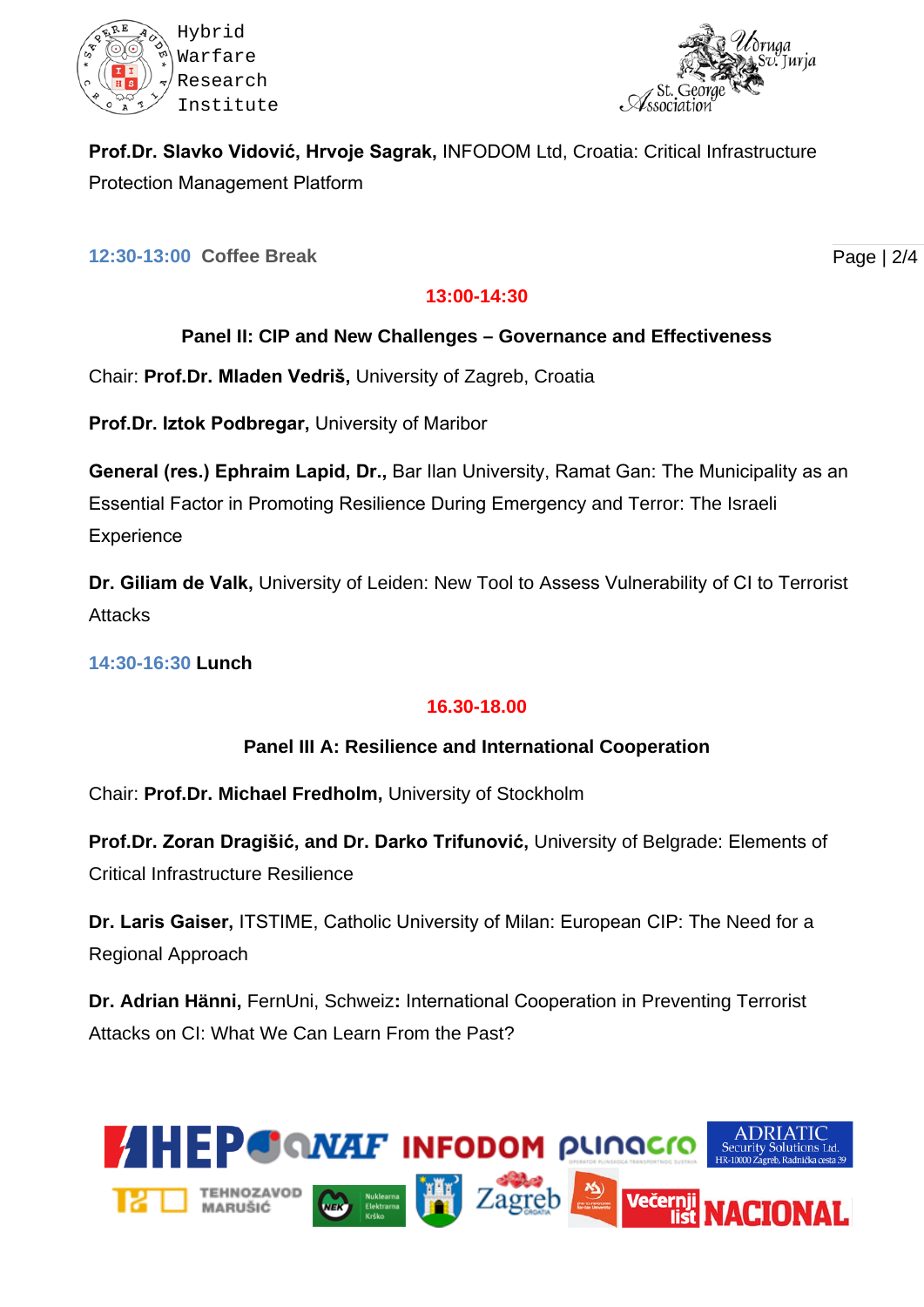



**Prof.Dr. Slavko Vidović, Hrvoje Sagrak,** INFODOM Ltd, Croatia: Critical Infrastructure Protection Management Platform

**12:30-13:00 Coffee Break**

#### **13:00-14:30**

### **Panel II: CIP and New Challenges – Governance and Effectiveness**

Chair: **Prof.Dr. Mladen Vedriš,** University of Zagreb, Croatia

**Prof.Dr. Iztok Podbregar,** University of Maribor

**General (res.) Ephraim Lapid, Dr.,** Bar Ilan University, Ramat Gan: The Municipality as an Essential Factor in Promoting Resilience During Emergency and Terror: The Israeli **Experience** 

**Dr. Giliam de Valk,** University of Leiden: New Tool to Assess Vulnerability of CI to Terrorist **Attacks** 

**14:30-16:30 Lunch**

# **16.30-18.00**

### **Panel III A: Resilience and International Cooperation**

Chair: **Prof.Dr. Michael Fredholm,** University of Stockholm

**Prof.Dr. Zoran Dragišić, and Dr. Darko Trifunović,** University of Belgrade: Elements of Critical Infrastructure Resilience

**Dr. Laris Gaiser,** ITSTIME, Catholic University of Milan: European CIP: The Need for a Regional Approach

**Dr. Adrian Hänni,** FernUni, Schweiz**:** International Cooperation in Preventing Terrorist Attacks on CI: What We Can Learn From the Past?



Page | 2/4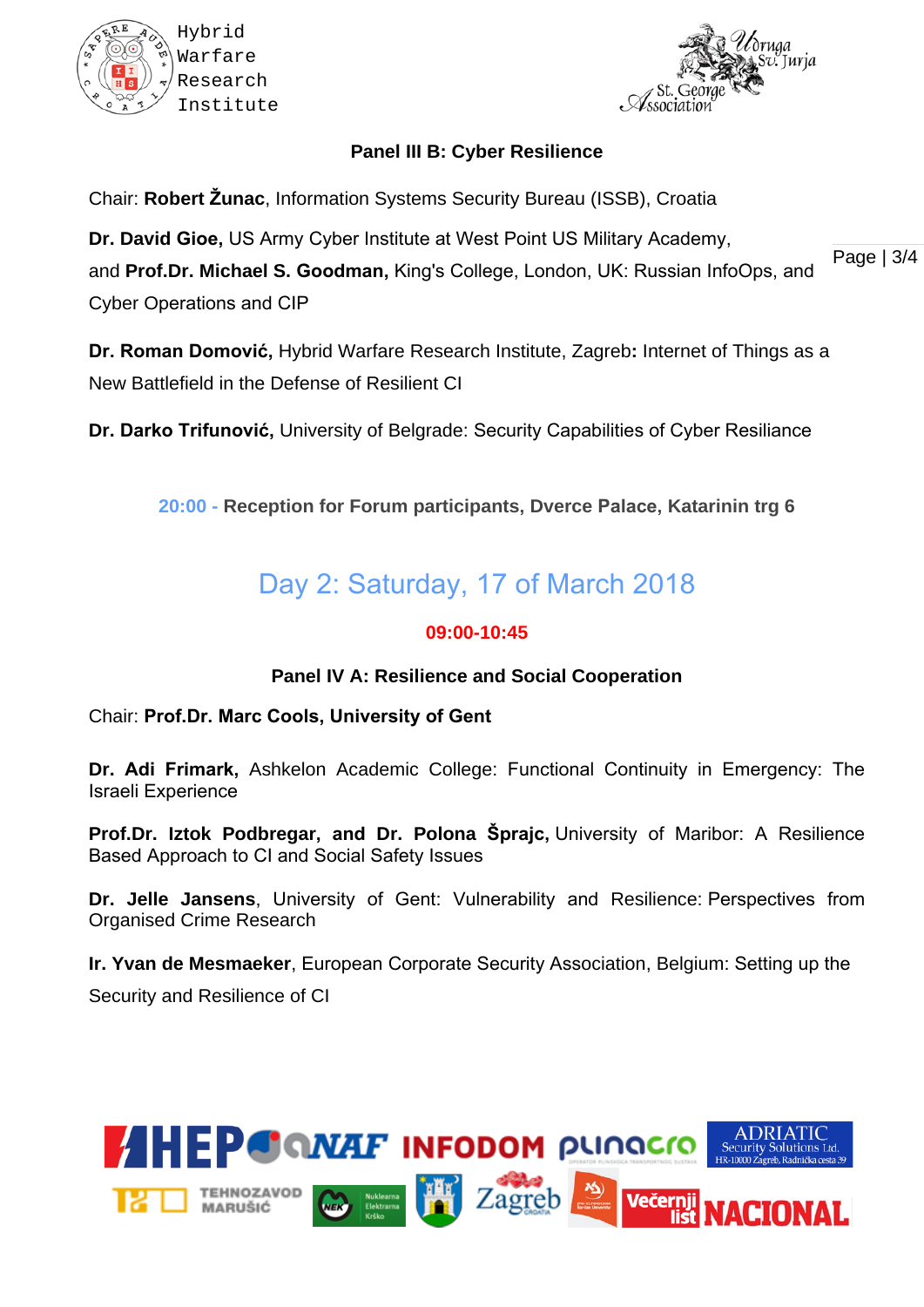



# **Panel III B: Cyber Resilience**

Chair: **Robert Žunac**, Information Systems Security Bureau (ISSB), Croatia

**Dr. David Gioe,** US Army Cyber Institute at West Point US Military Academy,

and **Prof.Dr. Michael S. Goodman,** King's College, London, UK: Russian InfoOps, and Cyber Operations and CIP

**Dr. Roman Domović,** Hybrid Warfare Research Institute, Zagreb**:** Internet of Things as a New Battlefield in the Defense of Resilient CI

**Dr. Darko Trifunović,** University of Belgrade: Security Capabilities of Cyber Resiliance

**20:00 - Reception for Forum participants, Dverce Palace, Katarinin trg 6**

# Day 2: Saturday, 17 of March 2018

### **09:00-10:45**

### **Panel IV A: Resilience and Social Cooperation**

Chair: **Prof.Dr. Marc Cools, University of Gent**

**Dr. Adi Frimark,** Ashkelon Academic College: Functional Continuity in Emergency: The Israeli Experience

**Prof.Dr. Iztok Podbregar, and Dr. Polona Šprajc,** University of Maribor: A Resilience Based Approach to CI and Social Safety Issues

**Dr. Jelle Jansens**, University of Gent: Vulnerability and Resilience: Perspectives from Organised Crime Research

**Ir. Yvan de Mesmaeker**, European Corporate Security Association, Belgium: Setting up the Security and Resilience of CI



Page | 3/4